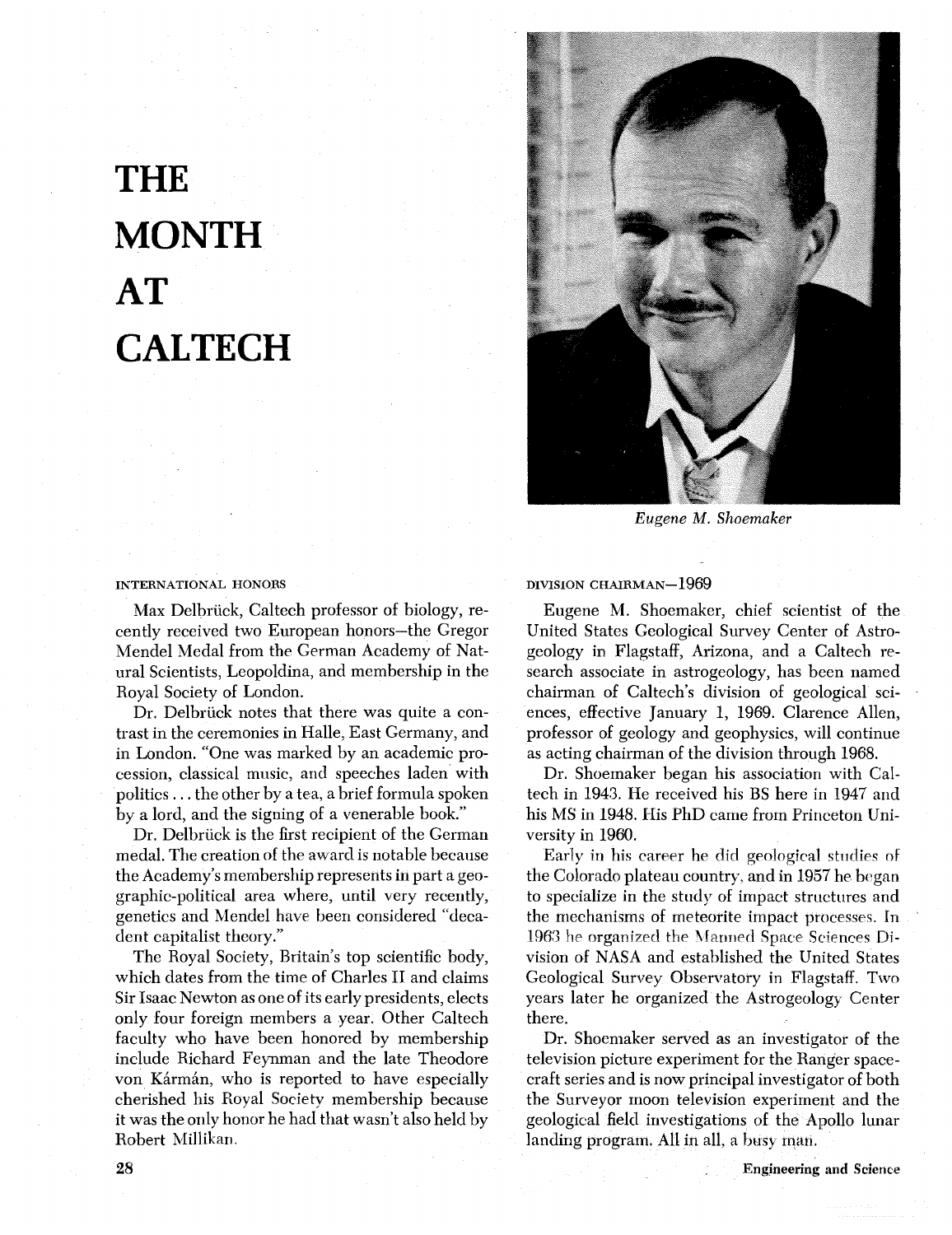# **THE MONTH AT CALTECH**



*Eugene* **M.** *Shoemaker* 

#### INTERNATIONAL HONORS

Max Delbriick, Caltech professor of biology, recently received two European honors-the Gregor Mendel Medal from the German Academy of Natural Scientists, Leopoldina, and membership in the Royal Society of London.

Dr. Delbriick notes that there was quite a contrast in the ceremonies in Halle, East Germany, and in London. "One was marked by an academic procession, classical music, and speeches laden with politics . . . the other by a tea, a brief formula spoken by a lord, and the signing of a venerable book."

Dr. Delbrück is the first recipient of the German medal. The creation of the award is notable because the Academy's membership represents in part a geographic-political area where, until very recently, genetics and Mendel have been considered "decadent capitalist theory."

The Royal Society, Britain's top scientific body, which dates from the time of Charles I1 and claims Sir Isaac Newton as one of its early presidents, elects only four foreign members a year. Other Caltech faculty who have been honored by membership include Richard Feynman and the late Theodore von Kármán, who is reported to have especially cherished his Royal Society membership because it was the only honor he had that wasn't also held by Robert Millikan.

DIVISION CHAIRMAN-1969

Eugene M. Shoemaker, chief scientist of the United States Geological Survey Center of Astrogeology in Flagstaff, Arizona, and a Caltech research associate in astrogeology, has been named chairman of Caltech's division of geological sciences, effective January 1, 1969. Clarence Allen, professor of geology and geophysics, will continue as acting chairman of the division through 1968.

Dr. Shoemaker began his association with Caltech in 1943. He received his BS here in 1947 and his MS in 1948. His PhD came from Princeton University in 1960.

Early in his career he did geological studies of the Colorado plateau country, and in 1957 he began to specialize in the study of impact structures and the mechanisms of meteorite impact processes. In 1963 he organized the Manned Space Sciences Division of NASA and established the United States Geological Survey Observatory in Flagstaff. Two years later he organized the Astrogeology Center there.

Dr. Shoemaker served as an investigator of the television picture experiment for the Ranger spacecraft series and is now principal investigator of both the Surveyor moon television experiment and the geological field investigations of the Apollo lunar landing program. All in all, a busy man.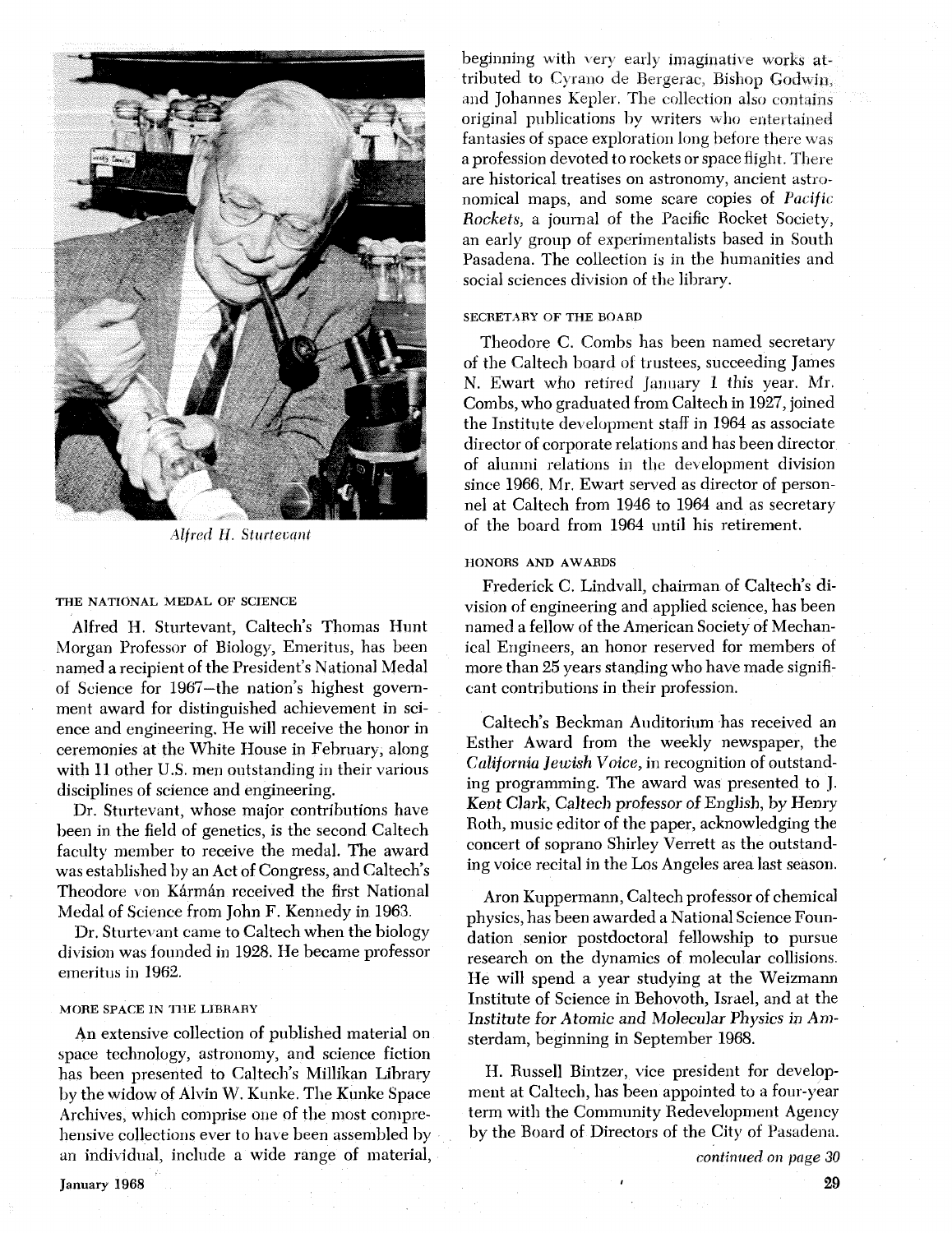

*Alfred H. Sturtevant* 

#### THE NATIONAL MEDAL OF SCIENCE

Alfred H. Sturtevant, Caltech's Thomas Hunt Morgan Professor of Biology, Emeritus, has been named a recipient of the President's National Medal of Science for 1967-the nation's highest government award for distinguished achievement in science and engineering. He will receive the honor in ceremonies at the White House in February, along with 11 other U.S. men outstanding in their various disciplines of science and engineering.

Dr. Sturtevant, whose major contributions have been in the field of genetics, is the second Caltech faculty member to receive the medal. The award was established by an Act of Congress, and Caltech's Theodore von Kármán received the first National Medal of Science from John F. Kennedy in 1963.

Dr. Sturtevant came to Caltech when the biology division was founded in 1928. He became professor emeritus in 1962.

# MORE SPACE IN THE LIBRARY

An extensive collection of published material on space technology, astronomy, and science fiction has been presented to Caltech's Millikan Library by the widow of Alvin W. Kunke. The Kunke Space Archives, which comprise one of the most comprehensive collections ever to have been assembled by an individual, include a wide range of material, beginning with very early imaginative works attributed to Cyrano de Bergerac, Bishop Godwin, and Johannes Kepler. The collection also contains original publications by writers who entertained fantasies of space exploration long before there was a profession devoted to rockets or space flight. There are historical treatises on astronomy, ancient astronomical maps, and some scare copies of *Pacific*  Rockets, a journal of the Pacific Rocket Society, an early group of experimentalists based in South Pasadena. The collection is in the humanities and social sciences division of the library.

# SECRETARY OF THE BOARD

Theodore C. Combs has been named secretary of the Caltech board of trustees, succeeding James N. Ewart who retired January I this year. Mr. Combs, who graduated from Caltech in 1927, joined the Institute development staff in 1964 as associate director of corporate relations and has been director of alumni reldtions in the development division since 1966, Mr. Ewart served as director of personnel at Caltech from 1946 to 1964 and as secretary of the board from 1964 until his retirement.

## HONORS AND AWABDS

Frederick C. Lindvall, chairman of Caltech's division of engineering and applied science, has been named a fellow of the American Society of Mechanical Engineers, an honor reserved for members of more than 25 years standing who have made significant contributions in their profession.

Caltech's Beckman Auditorium has received an Esther Award from the weekly newspaper, the **California** *Jewish* Voice, in recognition of outstanding programming. The award was presented to J. Kent Clark, Caltech professor of English, by Henry Roth, music editor of the paper, acknowledging the concert of soprano Shirley Verrett as the outstanding voice recital in the Los Angeles area last season.

Aron Kuppermann, Caltech professor of chemical physics, has been awarded a National Science Fonndation senior postdoctoral fellowship to pursue research on the dynamics of molecular collisions. He will spend a year studying at the Weizmann Institute of Science in Behovoth, Israel, and at the Institute for Atomic and Molecular Physics in **Am**sterdam, beginning in September 1968.

H. Russell Bintzer, vice president for development at Caltech, has been appointed to a four-year term with the Community Redevelopment Agency by the Board of Directors of the City of Pasadena.

*continued* on page **30** 

**January 1968**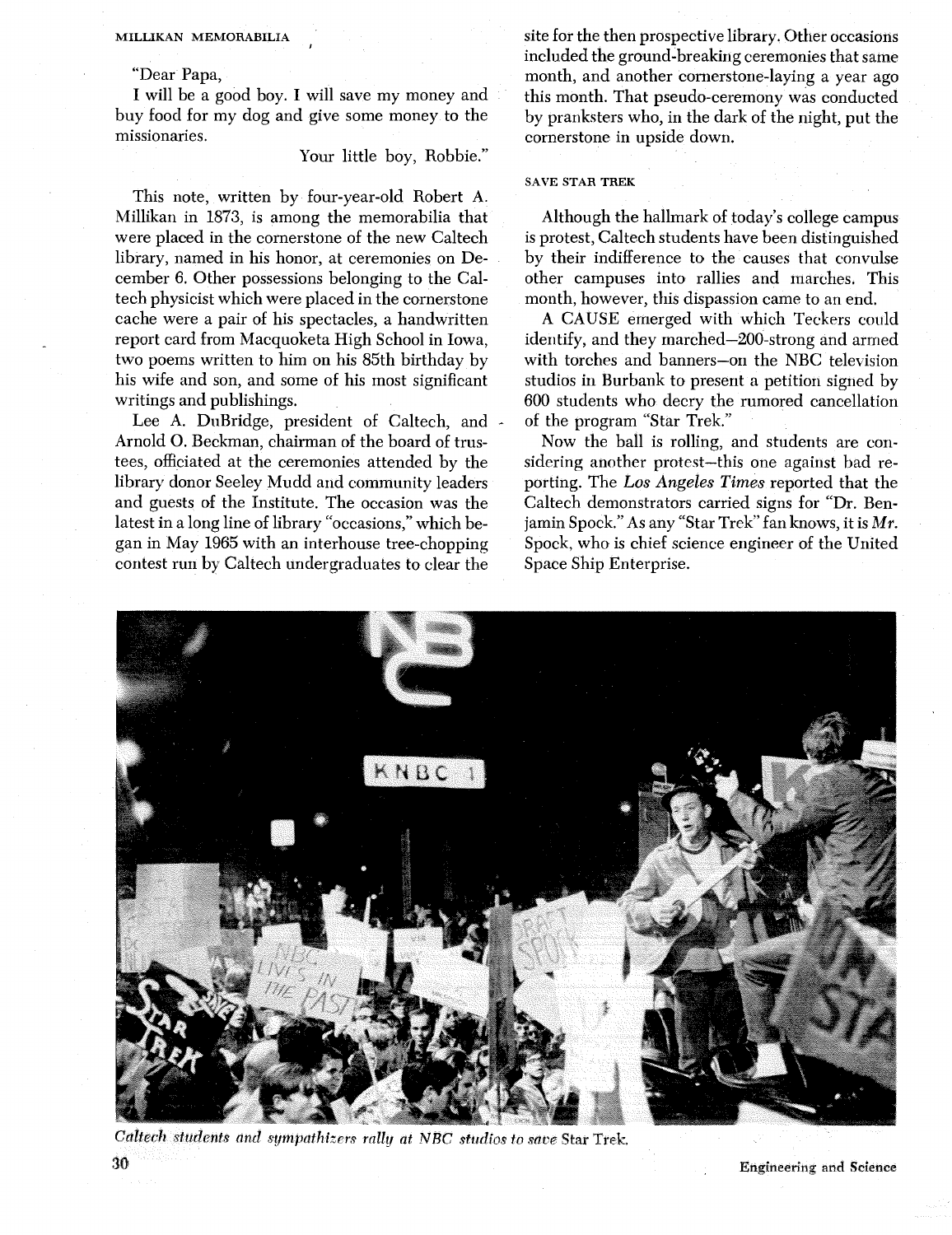#### MILLIKAN MEMORABILIA

"Dear Papa,

I will be a good boy. I will save my money and buy food for my dog and give some money to the missionaries.

# Your little boy, Robbie."

This note, written by four-year-old Robert A. Millikan in 1873, is among the memorabilia that were placed in the cornerstone of the new Caltech library, named in his honor, at ceremonies on December 6. Other possessions belonging to the Caltech physicist which were placed in the cornerstone cache were a pair of his spectacles, a handwritten report card from Macquoketa High School in Iowa, two poems written to him on his 85th birthday by his wife and son, and some of his most significant writings and publishings.

Lee A. DuBridge, president of Caltech, and Arnold 0. Beckman, chairman of the board of trustees, officiated at the ceremonies attended by the library donor Seeley Mudd and community leaders and guests of the Institute. The occasion was the latest in a long line of library "occasions," which began in May 1965 with an interhouse tree-chopping contest run by Caltech undergraduates to clear the

site for the then prospective library. Other occasions included the ground-breaking ceremonies that same month, and another cornerstone-laying a year ago this month. That pseudo-ceremony was conducted by pranksters who, in the dark of the night, put the cornerstone in upside down.

#### SAVE STAR TREK

Although the hallmark of today's college campus is protest, Caltech students have been distinguished by their indifference to the causes that convulse other campuses into rallies and marches. This month, however, this dispassion came to an end.

**A** CAUSE emerged with which Teckers could identify, and they marched-200-strong and armed with torches and banners-on the NBC television studios in Burbank to present a petition signed by 600 students who decry the rumored cancellation of the program "Star Trek."

Now the ball is rolling, and students are considering another protest-this one against bad reporting. The *Los Argeles* Times reported that the Caltech demonstrators carried signs for "Dr. Benjamin Spock." As any "Star Trek" fan knows, it is  $Mr$ . Spock, who is chief science engineer of the United Space Ship Enterprise.



*Calter11 student's* and *sympathizers rally* **at** NEC **/studios** to **save Star Trek, 3 Engineering and Science**